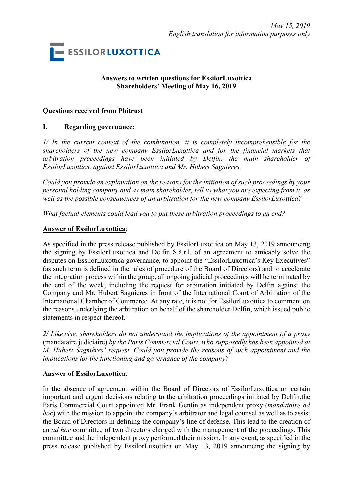

## **Answers to written questions for EssilorLuxottica Shareholders' Meeting of May 16, 2019**

#### **Questions received from Phitrust**

### **I. Regarding governance:**

*1/ In the current context of the combination, it is completely incomprehensible for the shareholders of the new company EssilorLuxottica and for the financial markets that arbitration proceedings have been initiated by Delfin, the main shareholder of EssilorLuxottica, against EssilorLuxottica and Mr. Hubert Sagnières.* 

*Could you provide an explanation on the reasons for the initiation of such proceedings by your personal holding company and as main shareholder, tell us what you are expecting from it, as well as the possible consequences of an arbitration for the new company EssilorLuxottica?* 

*What factual elements could lead you to put these arbitration proceedings to an end?* 

#### **Answer of EssilorLuxottica**:

As specified in the press release published by EssilorLuxottica on May 13, 2019 announcing the signing by EssilorLuxottica and Delfin S.à.r.l. of an agreement to amicably solve the disputes on EssilorLuxottica governance, to appoint the "EssilorLuxottica's Key Executives" (as such term is defined in the rules of procedure of the Board of Directors) and to accelerate the integration process within the group, all ongoing judicial proceedings will be terminated by the end of the week, including the request for arbitration initiated by Delfin against the Company and Mr. Hubert Sagnières in front of the International Court of Arbitration of the International Chamber of Commerce. At any rate, it is not for EssilorLuxottica to comment on the reasons underlying the arbitration on behalf of the shareholder Delfin, which issued public statements in respect thereof.

*2/ Likewise, shareholders do not understand the implications of the appointment of a proxy* (mandataire judiciaire) *by the Paris Commercial Court, who supposedly has been appointed at M. Hubert Sagnières' request. Could you provide the reasons of such appointment and the implications for the functioning and governance of the company?*

#### **Answer of EssilorLuxottica**:

In the absence of agreement within the Board of Directors of EssilorLuxottica on certain important and urgent decisions relating to the arbitration proceedings initiated by Delfin,the Paris Commercial Court appointed Mr. Frank Gentin as independent proxy (*mandataire ad hoc*) with the mission to appoint the company's arbitrator and legal counsel as well as to assist the Board of Directors in defining the company's line of defense. This lead to the creation of an *ad hoc* committee of two directors charged with the management of the proceedings. This committee and the independent proxy performed their mission. In any event, as specified in the press release published by EssilorLuxottica on May 13, 2019 announcing the signing by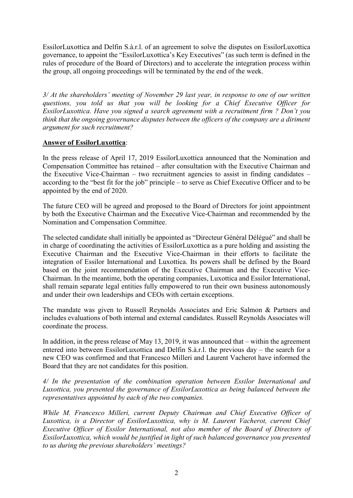EssilorLuxottica and Delfin S.à.r.l. of an agreement to solve the disputes on EssilorLuxottica governance, to appoint the "EssilorLuxottica's Key Executives" (as such term is defined in the rules of procedure of the Board of Directors) and to accelerate the integration process within the group, all ongoing proceedings will be terminated by the end of the week.

*3/ At the shareholders' meeting of November 29 last year, in response to one of our written questions, you told us that you will be looking for a Chief Executive Officer for EssilorLuxottica. Have you signed a search agreement with a recruitment firm ? Don't you think that the ongoing governance disputes between the officers of the company are a diriment argument for such recruitment?*

## **Answer of EssilorLuxottica**:

In the press release of April 17, 2019 EssilorLuxottica announced that the Nomination and Compensation Committee has retained – after consultation with the Executive Chairman and the Executive Vice-Chairman – two recruitment agencies to assist in finding candidates – according to the "best fit for the job" principle – to serve as Chief Executive Officer and to be appointed by the end of 2020.

The future CEO will be agreed and proposed to the Board of Directors for joint appointment by both the Executive Chairman and the Executive Vice-Chairman and recommended by the Nomination and Compensation Committee.

The selected candidate shall initially be appointed as "Directeur Général Délégué" and shall be in charge of coordinating the activities of EssilorLuxottica as a pure holding and assisting the Executive Chairman and the Executive Vice-Chairman in their efforts to facilitate the integration of Essilor International and Luxottica. Its powers shall be defined by the Board based on the joint recommendation of the Executive Chairman and the Executive Vice-Chairman. In the meantime, both the operating companies, Luxottica and Essilor International, shall remain separate legal entities fully empowered to run their own business autonomously and under their own leaderships and CEOs with certain exceptions.

The mandate was given to Russell Reynolds Associates and Eric Salmon & Partners and includes evaluations of both internal and external candidates. Russell Reynolds Associates will coordinate the process.

In addition, in the press release of May 13, 2019, it was announced that – within the agreement entered into between EssilorLuxottica and Delfin S.à.r.l. the previous day – the search for a new CEO was confirmed and that Francesco Milleri and Laurent Vacherot have informed the Board that they are not candidates for this position.

*4/ In the presentation of the combination operation between Essilor International and Luxottica, you presented the governance of EssilorLuxottica as being balanced between the representatives appointed by each of the two companies.* 

*While M. Francesco Milleri, current Deputy Chairman and Chief Executive Officer of Luxottica, is a Director of EssilorLuxottica, why is M. Laurent Vacherot, current Chief Executive Officer of Essilor International, not also member of the Board of Directors of EssilorLuxottica, which would be justified in light of such balanced governance you presented to us during the previous shareholders' meetings?*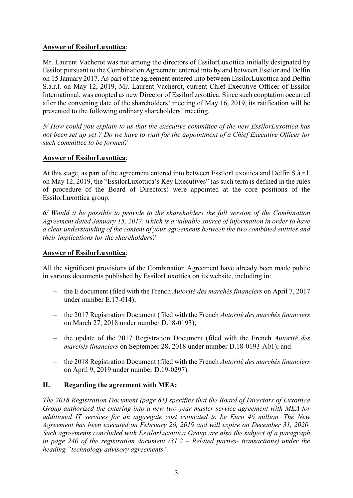## **Answer of EssilorLuxottica**:

Mr. Laurent Vacherot was not among the directors of EssilorLuxottica initially designated by Essilor pursuant to the Combination Agreement entered into by and between Essilor and Delfin on 15 January 2017. As part of the agreement entered into between EssilorLuxottica and Delfin S.à.r.l. on May 12, 2019, Mr. Laurent Vacherot, current Chief Executive Officer of Essilor International, was coopted as new Director of EssilorLuxottica. Since such cooptation occurred after the convening date of the shareholders' meeting of May 16, 2019, its ratification will be presented to the following ordinary shareholders' meeting.

*5/ How could you explain to us that the executive committee of the new EssilorLuxottica has not been set up yet ? Do we have to wait for the appointment of a Chief Executive Officer for such committee to be formed?* 

# **Answer of EssilorLuxottica**:

At this stage, as part of the agreement entered into between EssilorLuxottica and Delfin S.à.r.l. on May 12, 2019, the "EssilorLuxottica's Key Executives" (as such term is defined in the rules of procedure of the Board of Directors) were appointed at the core positions of the EssilorLuxottica group.

*6/ Would it be possible to provide to the shareholders the full version of the Combination Agreement dated January 15, 2017, which is a valuable source of information in order to have a clear understanding of the content of your agreements between the two combined entities and their implications for the shareholders?*

## **Answer of EssilorLuxottica**:

All the significant provisions of the Combination Agreement have already been made public in various documents published by EssilorLuxottica on its website, including in:

- the E document (filed with the French *Autorité des marchés financiers* on April 7, 2017 under number E.17-014);
- the 2017 Registration Document (filed with the French *Autorité des marchés financiers* on March 27, 2018 under number D.18-0193);
- the update of the 2017 Registration Document (filed with the French *Autorité des marchés financiers* on September 28, 2018 under number D.18-0193-A01); and
- the 2018 Registration Document (filed with the French *Autorité des marchés financiers* on April 9, 2019 under number D.19-0297).

# **II. Regarding the agreement with MEA:**

*The 2018 Registration Document (page 81) specifies that the Board of Directors of Luxottica Group authorized the entering into a new two-year master service agreement with MEA for additional IT services for an aggregate cost estimated to be Euro 46 million. The New Agreement has been executed on February 26, 2019 and will expire on December 31, 2020. Such agreements concluded with EssilorLuxottica Group are also the subject of a paragraph in page 240 of the registration document (31.2 – Related parties- transactions) under the heading "technology advisory agreements".*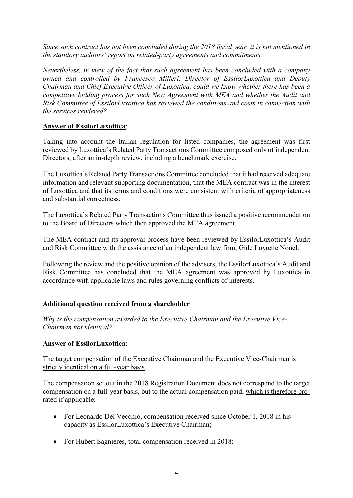*Since such contract has not been concluded during the 2018 fiscal year, it is not mentioned in the statutory auditors' report on related-party agreements and commitments.* 

*Nevertheless, in view of the fact that such agreement has been concluded with a company owned and controlled by Francesco Milleri, Director of EssilorLuxottica and Deputy Chairman and Chief Executive Officer of Luxottica, could we know whether there has been a competitive bidding process for such New Agreement with MEA and whether the Audit and Risk Committee of EssilorLuxottica has reviewed the conditions and costs in connection with the services rendered?*

## **Answer of EssilorLuxottica**:

Taking into account the Italian regulation for listed companies, the agreement was first reviewed by Luxottica's Related Party Transactions Committee composed only of independent Directors, after an in-depth review, including a benchmark exercise.

The Luxottica's Related Party Transactions Committee concluded that it had received adequate information and relevant supporting documentation, that the MEA contract was in the interest of Luxottica and that its terms and conditions were consistent with criteria of appropriateness and substantial correctness.

The Luxottica's Related Party Transactions Committee thus issued a positive recommendation to the Board of Directors which then approved the MEA agreement.

The MEA contract and its approval process have been reviewed by EssilorLuxottica's Audit and Risk Committee with the assistance of an independent law firm, Gide Loyrette Nouel.

Following the review and the positive opinion of the advisers, the EssilorLuxottica's Audit and Risk Committee has concluded that the MEA agreement was approved by Luxottica in accordance with applicable laws and rules governing conflicts of interests.

# **Additional question received from a shareholder**

*Why is the compensation awarded to the Executive Chairman and the Executive Vice-Chairman not identical?*

## **Answer of EssilorLuxottica**:

The target compensation of the Executive Chairman and the Executive Vice-Chairman is strictly identical on a full-year basis.

The compensation set out in the 2018 Registration Document does not correspond to the target compensation on a full-year basis, but to the actual compensation paid, which is therefore prorated if applicable:

- For Leonardo Del Vecchio, compensation received since October 1, 2018 in his capacity as EssilorLuxottica's Executive Chairman;
- For Hubert Sagnières, total compensation received in 2018: